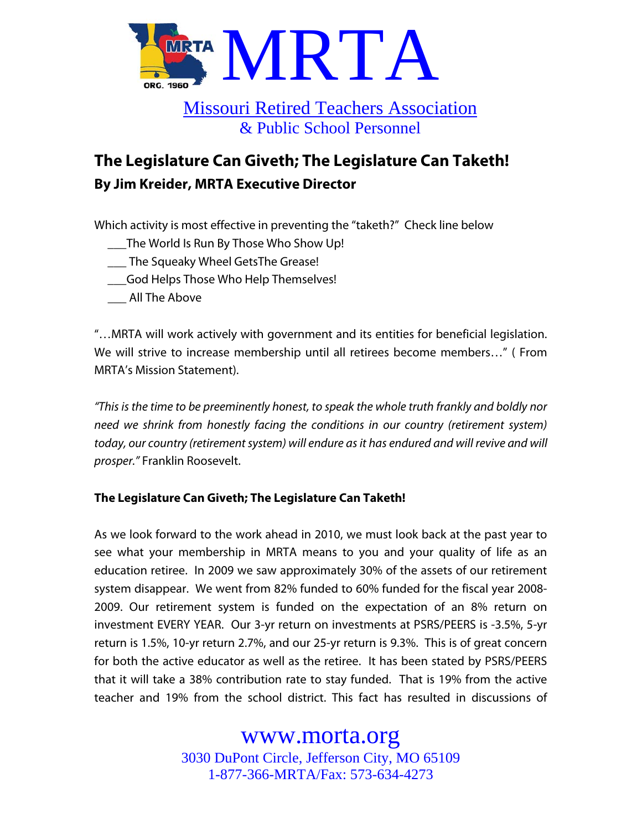

## Missouri Retired Teachers Association & Public School Personnel

# **The Legislature Can Giveth; The Legislature Can Taketh! By Jim Kreider, MRTA Executive Director**

Which activity is most effective in preventing the "taketh?" Check line below

- \_\_\_The World Is Run By Those Who Show Up!
- \_\_\_ The Squeaky Wheel GetsThe Grease!
- \_\_\_God Helps Those Who Help Themselves!
- \_\_\_ All The Above

"…MRTA will work actively with government and its entities for beneficial legislation. We will strive to increase membership until all retirees become members…" ( From MRTA's Mission Statement).

"This is the time to be preeminently honest, to speak the whole truth frankly and boldly nor need we shrink from honestly facing the conditions in our country (retirement system) today, our country (retirement system) will endure as it has endured and will revive and will prosper." Franklin Roosevelt.

### **The Legislature Can Giveth; The Legislature Can Taketh!**

As we look forward to the work ahead in 2010, we must look back at the past year to see what your membership in MRTA means to you and your quality of life as an education retiree. In 2009 we saw approximately 30% of the assets of our retirement system disappear. We went from 82% funded to 60% funded for the fiscal year 2008- 2009. Our retirement system is funded on the expectation of an 8% return on investment EVERY YEAR. Our 3-yr return on investments at PSRS/PEERS is -3.5%, 5-yr return is 1.5%, 10-yr return 2.7%, and our 25-yr return is 9.3%. This is of great concern for both the active educator as well as the retiree. It has been stated by PSRS/PEERS that it will take a 38% contribution rate to stay funded. That is 19% from the active teacher and 19% from the school district. This fact has resulted in discussions of

## www.morta.org

3030 DuPont Circle, Jefferson City, MO 65109 1-877-366-MRTA/Fax: 573-634-4273